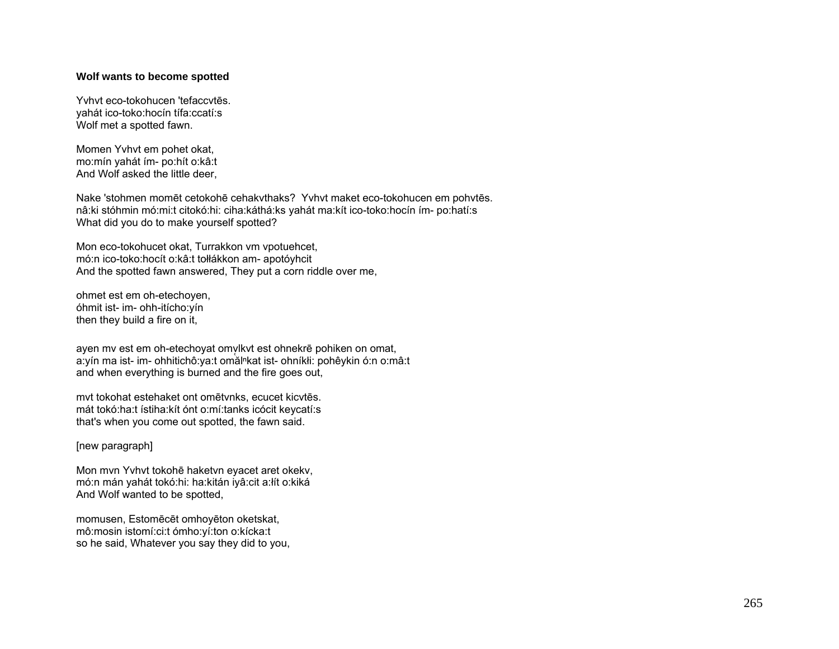## **Wolf wants to become spotted**

Yvhvt eco-tokohucen 'tefaccvtēs. yahát ico-toko:hocín tífa:ccatí:s Wolf met a spotted fawn.

Momen Yvhvt em pohet okat, mo:mín yahát ím- po:hít o:kâ:t And Wolf asked the little deer,

Nake 'stohmen momēt cetokohē cehakvthaks? Yvhvt maket eco-tokohucen em pohvtēs. nâ:ki stóhmin mó:mi:t citokó:hi: ciha:káthá:ks yahát ma:kít ico-toko:hocín ím- po:hatí:s What did you do to make yourself spotted?

Mon eco-tokohucet okat, Turrakkon vm vpotuehcet, mó:n ico-toko:hocít o:kâ:t tołłákkon am- apotóyhcit And the spotted fawn answered, They put a corn riddle over me,

ohmet est em oh-etechoyen, óhmit ist- im- ohh-itícho:yín then they build a fire on it,

ayen my est em oh-etechoyat omvlkyt est ohnekrē pohiken on omat, a: yín ma ist- im- ohhitichô: ya: t omăl<sup>n</sup>kat ist- ohníkłi: pohê y kin ó: n o: mâ: t and when everything is burned and the fire goes out,

mvt tokohat estehaket ont omētvnks, ecucet kicvtēs. mát tokó:ha:t ístiha:kít ónt o:mí:tanks icócit keycatí:s that's when you come out spotted, the fawn said.

[new paragraph]

Mon mvn Yvhvt tokohē haketvn eyacet aret okekv, mó:n mán yahát tokó:hi: ha:kitán iyâ:cit a:łít o:kiká And Wolf wanted to be spotted,

momusen, Estomēcēt omhoyēton oketskat, mô:mosin istomí:ci:t ómho:yí:ton o:kícka:t so he said, Whatever you say they did to you,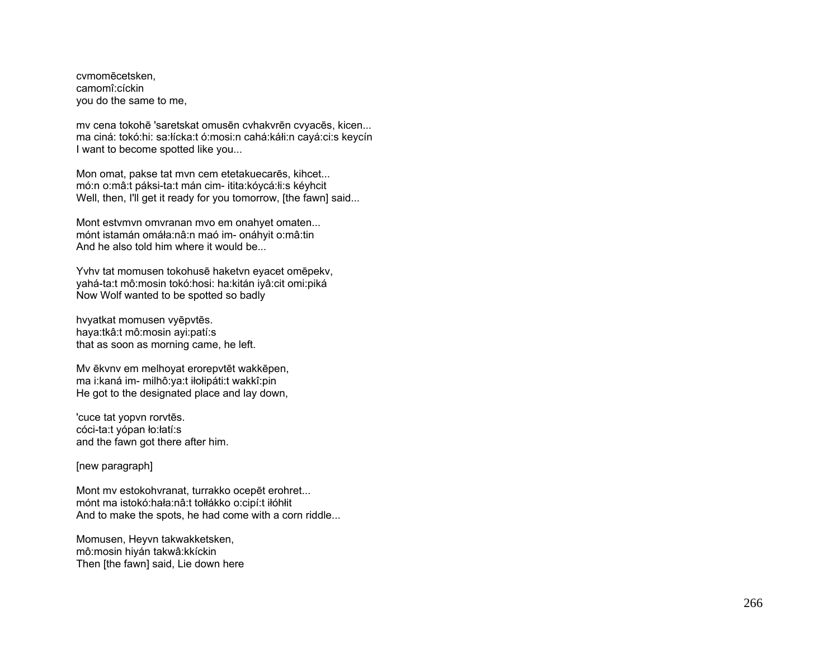cvmomēcetsken, camomî:cíckin you do the same to me,

mv cena tokohē 'saretskat omusēn cvhakvrēn cvyacēs, kicen... ma ciná: tokó:hi: sa:łícka:t ó:mosi:n cahá:káłi:n cayá:ci:s keycín I want to become spotted like you...

Mon omat, pakse tat mvn cem etetakuecarēs, kihcet... mó:n o:mâ:t páksi-ta:t mán cim- itita:kóycá:łi:s kéyhcit Well, then, I'll get it ready for you tomorrow, [the fawn] said...

Mont estvmvn omvranan mvo em onahyet omaten... mónt istamán omáła:nâ:n maó im- onáhyit o:mâ:tin And he also told him where it would be.

Yvhv tat momusen tokohusē haketvn eyacet omēpekv, yahá-ta:t mô:mosin tokó:hosi: ha:kitán iyâ:cit omi:piká Now Wolf wanted to be spotted so badly

hvyatkat momusen vyēpvtēs. haya:tkâ:t mô:mosin ayi:patí:s that as soon as morning came, he left.

Mv ēkvnv em melhoyat erorepvtēt wakkēpen, ma i:kaná im- milhô:ya:t iłołipáti:t wakkî:pin He got to the designated place and lay down,

'cuce tat yopvn rorvtēs. cóci-ta:t yópan ło:łatí:s and the fawn got there after him.

[new paragraph]

Mont mv estokohvranat, turrakko ocepēt erohret... mónt ma istokó:hała:nâ:t tołłákko o:cipí:t iłóhłit And to make the spots, he had come with a corn riddle...

Momusen, Heyvn takwakketsken, mô:mosin hiyán takwâ:kkíckin Then [the fawn] said, Lie down here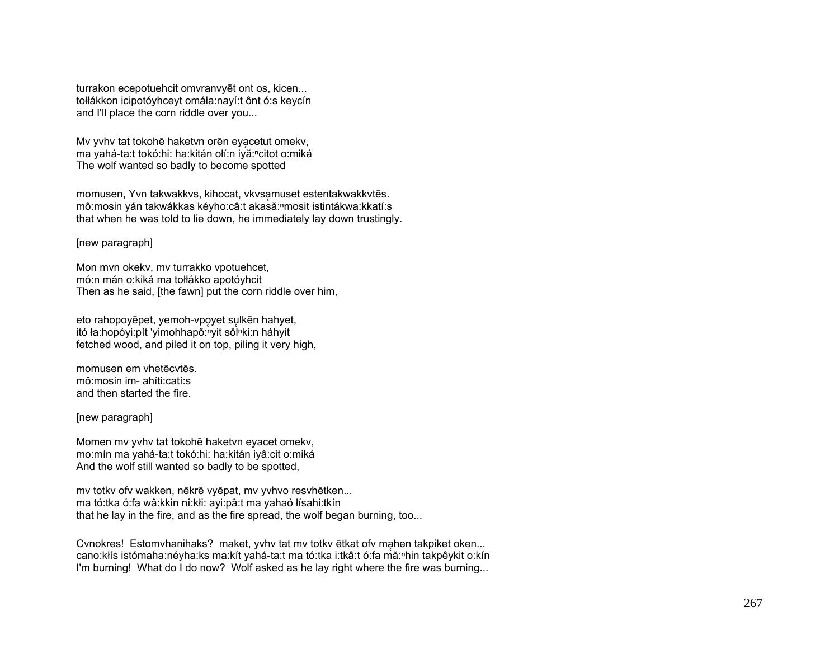turrakon ecepotuehcit omvranvyēt ont os, kicen... tołłákkon icipotóyhceyt omáła:nayí:t ônt ó:s keycín and I'll place the corn riddle over you...

Mv yvhv tat tokohē haketvn orēn eyacetut omekv, ma vahá-ta:t tokó:hi: ha:kitán ołí:n iyă:ncitot o:miká The wolf wanted so badly to become spotted

momusen, Yvn takwakkvs, kihocat, vkvsamuset estentakwakkvtēs. mô:mosin yán takwákkas kéyho:câ:t akasă:<sup>n</sup>mosit istintákwa:kkatí:s that when he was told to lie down, he immediately lay down trustingly.

[new paragraph]

Mon mvn okekv, mv turrakko vpotuehcet, mó:n mán o:kiká ma tołłákko apotóyhcit Then as he said, [the fawn] put the corn riddle over him,

eto rahopovēpet, vemoh-vpovet sulkēn hahvet, itó ła:hopóyi:pít 'yimohhapŏ:nyit sŏlnki:n háhyit fetched wood, and piled it on top, piling it very high,

momusen em vhetēcytēs. mô:mosin im- ahíti:catí:s and then started the fire.

[new paragraph]

Momen mv yvhv tat tokohē haketvn eyacet omekv, mo:mín ma yahá-ta:t tokó:hi: ha:kitán iyâ:cit o:miká And the wolf still wanted so badly to be spotted,

my totky ofy wakken, někrě vyěpat, my yvhvo resyhětken... ma tó:tka ó:fa wâ:kkin nî:kłi: ayi:pâ:t ma yahaó łísahi:tkín that he lay in the fire, and as the fire spread, the wolf began burning, too...

Cynokres! Estomyhanihaks? maket, yyhy tat my totky etkat ofy mahen takpiket oken... cano: kłís istómaha: néyha: ks ma: kít yahá-ta: t ma tó: tka i: tkâ: t ó: fa mǎ: nhin takpêy kit o: kín I'm burning! What do I do now? Wolf asked as he lay right where the fire was burning...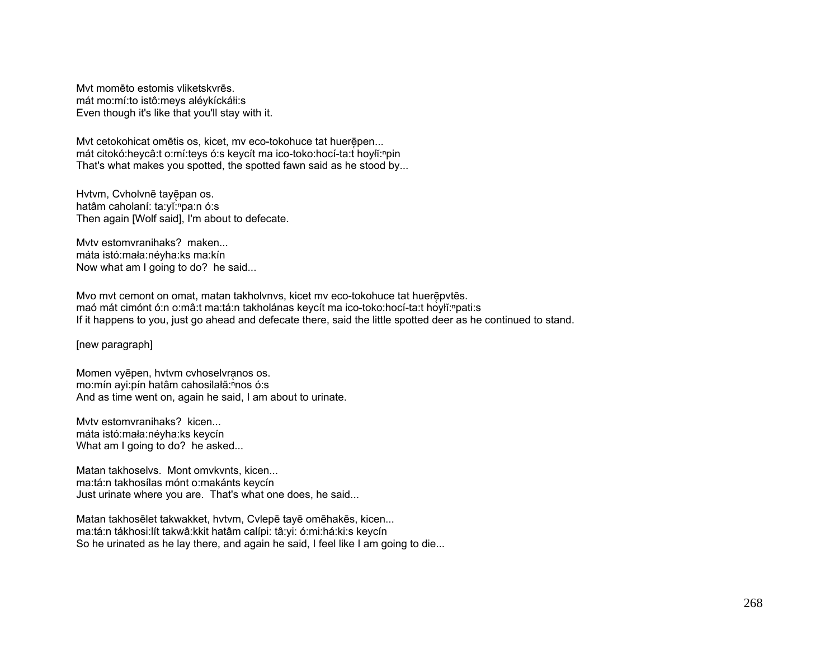Mvt momēto estomis vliketskvrēs. mát mo:mí:to istô:meys aléykíckáłi:s Even though it's like that you'll stay with it.

Mvt cetokohicat omētis os, kicet, mv eco-tokohuce tat huerēpen... mát citokó:heycâ:t o:mí:teys ó:s keycít ma ico-toko:hocí-ta:t hoylǐ:<sup>n</sup>pin That's what makes you spotted, the spotted fawn said as he stood by...

Hvtvm, Cvholvnē tayēpan os. hatâm caholaní: ta:vǐ: "pa:n ó:s Then again [Wolf said], I'm about to defecate.

Mvtv estomvranihaks? maken... máta istó:mała:néyha:ks ma:kín Now what am I going to do? he said...

Myo myt cemont on omat, matan takholynys, kicet my eco-tokohuce tat huerē pytēs. maó mát cimónt ó:n o:mâ:t ma:tá:n takholánas keycít ma ico-toko:hocí-ta:t hoyłĭ:<sup>ⁿ</sup>pati:s If it happens to you, just go ahead and defecate there, said the little spotted deer as he continued to stand.

[new paragraph]

Momen vyēpen, hvtvm cvhoselvranos os. mo:mín ayi:pín hatâm cahosilałă:<sup>n</sup>nos ó:s And as time went on, again he said, I am about to urinate.

Myty estomyranihaks? kicen. máta istó:mała:néyha:ks keycín What am I going to do? he asked...

Matan takhoselvs. Mont omvkvnts, kicen... ma:tá:n takhosílas mónt o:makánts keycín Just urinate where you are. That's what one does, he said...

Matan takhosēlet takwakket, hvtvm, Cvlepē tayē omēhakēs, kicen... ma:tá:n tákhosi:lít takwâ:kkit hatâm calípi: tâ:yi: ó:mi:há:ki:s keycín So he urinated as he lay there, and again he said, I feel like I am going to die...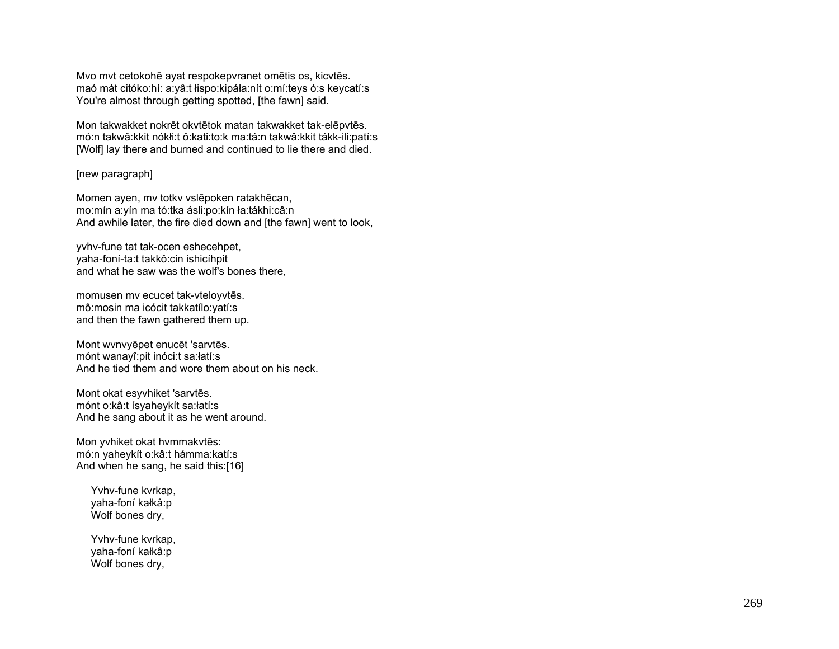Mvo mvt cetokohē ayat respokepvranet omētis os, kicvtēs. maó mát citóko:hí: a:yâ:t łispo:kipáła:nít o:mí:teys ó:s keycatí:s You're almost through getting spotted, [the fawn] said.

Mon takwakket nokrēt okvtētok matan takwakket tak-elēpvtēs. mó:n takwâ:kkit nókłi:t ô:kati:to:k ma:tá:n takwâ:kkit tákk-ili:patí:s [Wolf] lay there and burned and continued to lie there and died.

## [new paragraph]

Momen ayen, mv totkv vslēpoken ratakhēcan, mo:mín a:yín ma tó:tka ásli:po:kín ła:tákhi:câ:n And awhile later, the fire died down and [the fawn] went to look,

yvhv-fune tat tak-ocen eshecehpet, yaha-foní-ta:t takkô:cin ishicíhpit and what he saw was the wolf's bones there,

momusen mv ecucet tak-vteloyvtēs. mô:mosin ma icócit takkatílo:yatí:s and then the fawn gathered them up.

Mont wvnvyēpet enucēt 'sarvtēs. mónt wanayî:pit inóci:t sa:łatí:s And he tied them and wore them about on his neck.

Mont okat esyvhiket 'sarvtēs. mónt o:kâ:t ísyaheykít sa:łatí:s And he sang about it as he went around.

Mon yvhiket okat hvmmakvtēs: mó:n yaheykít o:kâ:t hámma:katí:s And when he sang, he said this:[16]

 Yvhv-fune kvrkap, yaha-foní kałkâ:p Wolf bones dry,

 Yvhv-fune kvrkap, yaha-foní kałkâ:p Wolf bones dry,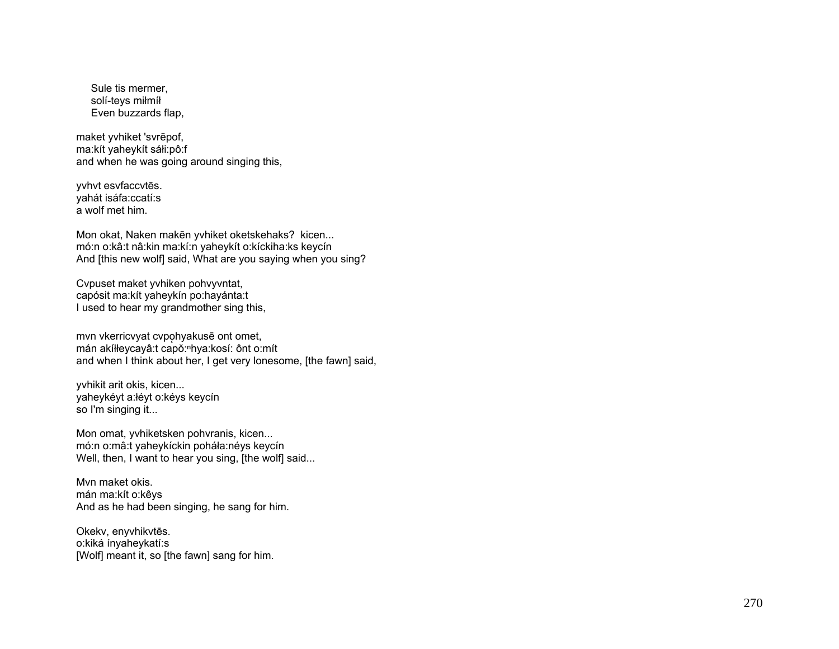Sule tis mermer. solí-tevs milmíl Even buzzards flap,

maket vvhiket 'svrēpof, ma:kít yaheykít sáłi:pô:f and when he was going around singing this,

yvhvt esvfaccvtēs. vahát isáfa:ccatí:s a wolf met him.

Mon okat, Naken makēn yvhiket oketskehaks? kicen... mó:n o:kâ:t nâ:kin ma:kí:n yaheykít o:kíckiha:ks keycín And [this new wolf] said, What are you saying when you sing?

Cvpuset maket yvhiken pohvyvntat, capósit ma: kít yaheykín po: hayánta: t I used to hear my grandmother sing this,

mvn vkerricvyat cvpohyakusē ont omet, mán akíłłeycayâ:t capo: hya:kosí: ônt o: mít and when I think about her. I get very lonesome. [the fawn] said.

yvhikit arit okis, kicen... yaheykéyt a: łéyt o: kéys keycín so I'm singing it...

Mon omat, yvhiketsken pohvranis, kicen... mó:n o:mâ:t yaheykíckin poháła:néys keycín Well, then, I want to hear you sing, [the wolf] said...

Myn maket okis. mán ma:kít o:kêys And as he had been singing, he sang for him.

Okekv, enyvhikvtēs. o:kiká ínvahevkatí:s [Wolf] meant it, so [the fawn] sang for him.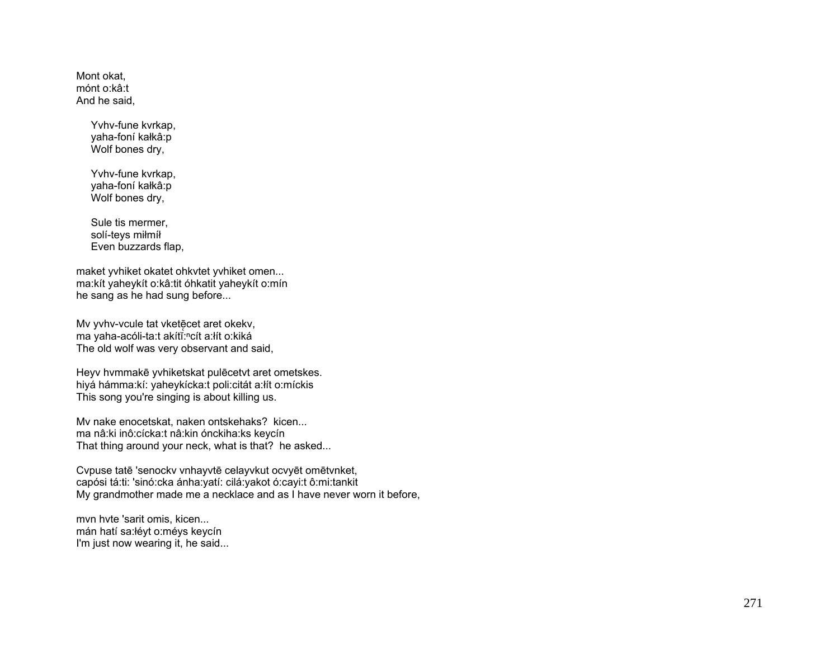Mont okat, mónt o:kâ:t And he said,

> Yvhv-fune kvrkap, yaha-foní kałkâ:p Wolf bones dry,

> Yvhv-fune kvrkap, yaha-foní kałkâ:p Wolf bones dry,

 Sule tis mermer, solí-teys miłmíł Even buzzards flap,

maket yvhiket okatet ohkvtet yvhiket omen... ma:kít yaheykít o:kâ:tit óhkatit yaheykít o:mín he sang as he had sung before...

Mv yvhv-vcule tat vketēcet aret okekv, ma yaha-acóli-ta:t akítĭ:"cít a:łít o:kiká The old wolf was very observant and said,

Heyv hvmmakē yvhiketskat pulēcetvt aret ometskes. hiyá hámma:kí: yaheykícka:t poli:citát a:łít o:míckis This song you're singing is about killing us.

Mv nake enocetskat, naken ontskehaks? kicen... ma nâ:ki inô:cícka:t nâ:kin ónckiha:ks keycín That thing around your neck, what is that? he asked...

Cvpuse tatē 'senockv vnhayvtē celayvkut ocvyēt omētvnket, capósi tá:ti: 'sinó:cka ánha:yatí: cilá:yakot ó:cayi:t ô:mi:tankit My grandmother made me a necklace and as I have never worn it before,

mvn hvte 'sarit omis, kicen... mán hatí sa:łéyt o:méys keycín I'm just now wearing it, he said...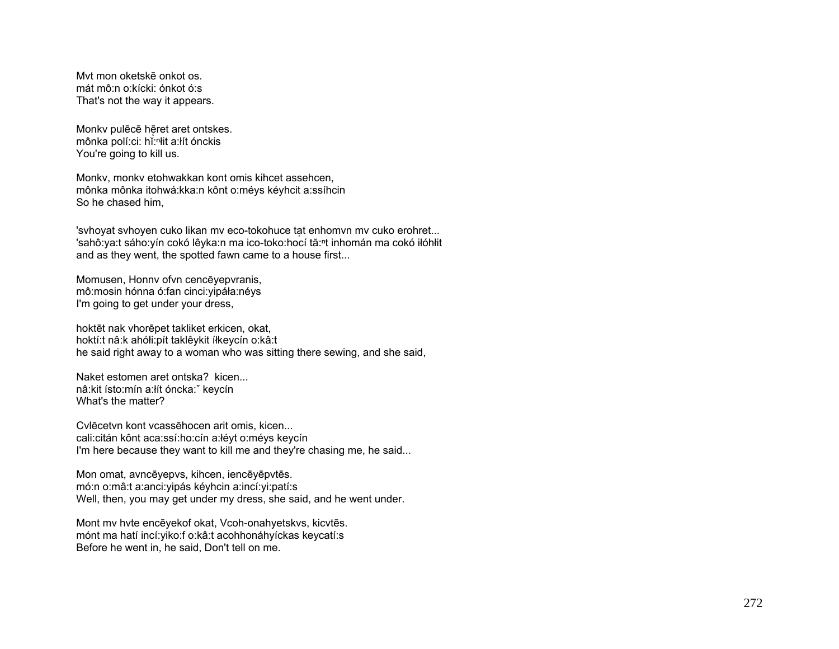Myt mon oketskē onkot os. mát mô:n o:kícki: ónkot ó:s That's not the way it appears.

Monky pulēcē hēret aret ontskes. mônka polí: ci: hi: "Hit a: lít ón ckis You're going to kill us.

Monky, monky etohwakkan kont omis kihcet assehcen, mônka mônka itohwá: kka: n kônt o: méys kéyhcit a: ssíhcin So he chased him.

'svhoyat svhoyen cuko likan mv eco-tokohuce tat enhomvn mv cuko erohret... 'sahô: ya:t sáho: yín cokó lêyka: n ma ico-toko: hocí tă: nt inhomán ma cokó iłóhłit and as they went, the spotted fawn came to a house first...

Momusen, Honny of a cenceyepyranis, mô:mosin hónna ó:fan cinci: yipáła: néys I'm going to get under your dress,

hoktēt nak vhorēpet takliket erkicen, okat, hoktí:t nâ:k ahółi:pít taklêykit íłkeycín o:kâ:t he said right away to a woman who was sitting there sewing, and she said,

Naket estomen aret ontska? kicen... nâ: kit ísto: mín a: lít óncka: keycín What's the matter?

Cylecetyn kont ycassehocen arit omis, kicen... cali:citán kônt aca:ssí:ho:cín a:łéyt o:méys keycín I'm here because they want to kill me and they're chasing me, he said...

Mon omat, avncēyepvs, kihcen, iencēyēpvtēs. mó:n o:mâ:t a:anci:yipás kéyhcin a:incí:yi:patí:s Well, then, you may get under my dress, she said, and he went under.

Mont mv hvte encēyekof okat, Vcoh-onahyetskvs, kicvtēs. mónt ma hatí incí: yiko: f o: kâ: t acohhonáhyíckas keycatí: s Before he went in, he said, Don't tell on me.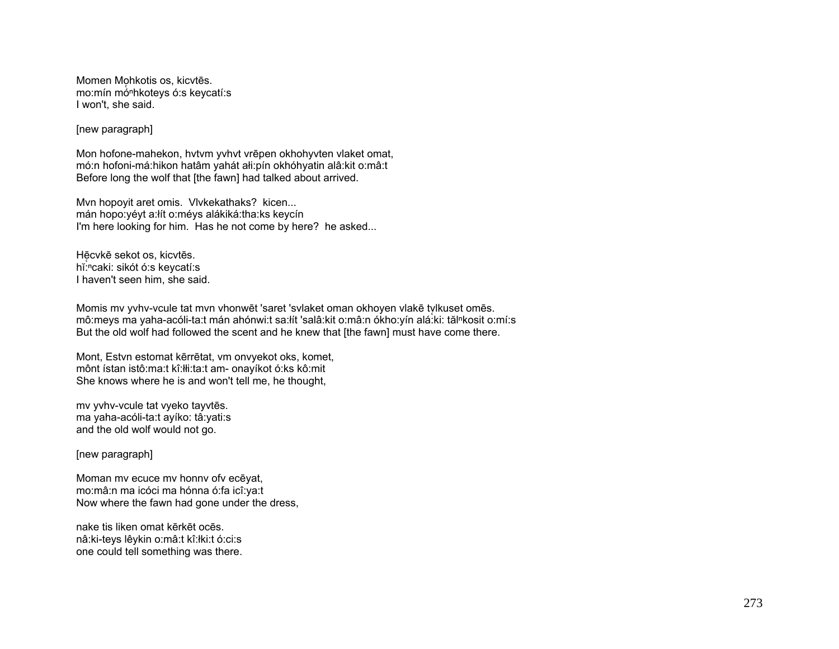Momen Mohkotis os, kicytēs. mo: mín mó<sup>n</sup>hkoteys ó: s keycatí: s I won't, she said.

## [new paragraph]

Mon hofone-mahekon, hvtvm yvhvt vrēpen okhohyvten vlaket omat, mó:n hofoni-má:hikon hatâm yahát ali:pín okhóhyatin alâ:kit o:mâ:t Before long the wolf that [the fawn] had talked about arrived.

Mvn hopoyit aret omis. Vlvkekathaks? kicen... mán hopo:yéyt a:lít o:méys alákiká:tha:ks keycín I'm here looking for him. Has he not come by here? he asked...

Hēcvkē sekot os, kicvtēs. hĭ:ncaki: sikót ó:s keycatí:s I haven't seen him, she said.

Momis my yyhy-youle tat myn yhonwet 'saret 'sylaket oman okhoyen ylake tylkuset omes. mô:meys ma yaha-acóli-ta:t mán ahónwi:t sa:lít 'salâ:kit o:mâ:n ókho:yín alá:ki: tăl<sup>n</sup>kosit o:mí:s But the old wolf had followed the scent and he knew that [the fawn] must have come there.

Mont, Estyn estomat kērrētat, ym onvyekot oks, komet, mônt ístan istô:ma:t kî:łłi:ta:t am- onayíkot ó:ks kô:mit She knows where he is and won't tell me, he thought,

mv yvhv-vcule tat vyeko tayvtēs. ma yaha-acóli-ta:t ayíko: tâ:yati:s and the old wolf would not go.

[new paragraph]

Moman my ecuce my honny of yeceyat, mo: mâ: n ma icóci ma hónna ó: fa icî: ya: t Now where the fawn had gone under the dress.

nake tis liken omat kērkēt ocēs. nâ: ki-teys lêykin o: mâ: tkî: łki: tó: ci: s one could tell something was there.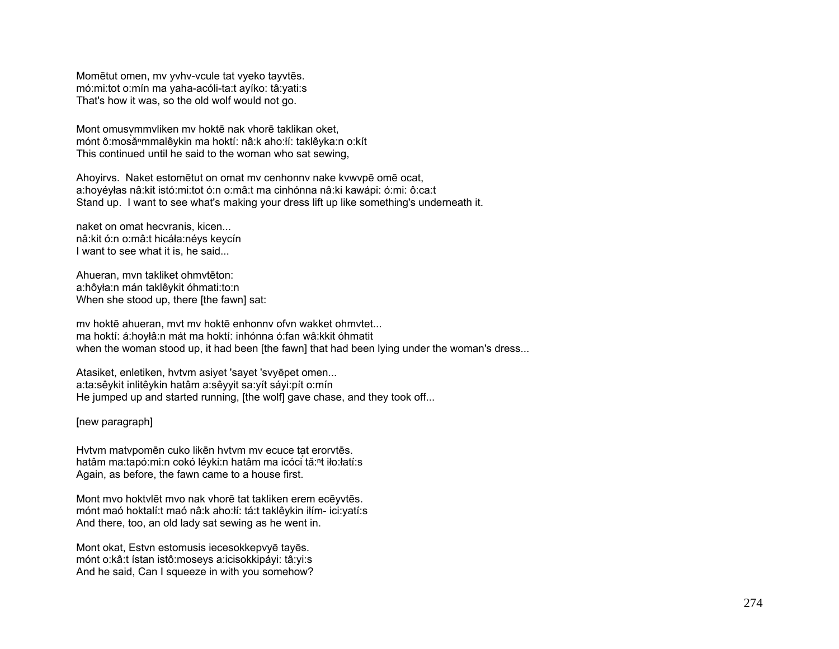Momētut omen, mv yvhv-vcule tat vyeko tayvtēs. mó:mi:tot o:mín ma yaha-acóli-ta:t ayíko: tâ:yati:s That's how it was, so the old wolf would not go.

Mont omusvmmvliken mv hoktē nak vhorē taklikan oket, mónt ô:mosanmmalêykin ma hoktí: nâ:k aho:łí: taklêyka:n o:kít This continued until he said to the woman who sat sewing,

Ahoyirvs. Naket estomētut on omat mv cenhonnv nake kvwvpē omē ocat, a:hoyéyłas nâ:kit istó:mi:tot ó:n o:mâ:t ma cinhónna nâ:ki kawápi: ó:mi: ô:ca:t Stand up. I want to see what's making your dress lift up like something's underneath it.

naket on omat hecvranis, kicen... nâ:kit ó:n o:mâ:t hicáła:néys keycín I want to see what it is, he said...

Ahueran, mvn takliket ohmvtēton: a:hôyła:n mán taklêykit óhmati:to:n When she stood up, there [the fawn] sat:

mv hoktē ahueran, mvt mv hoktē enhonnv ofvn wakket ohmvtet... ma hoktí: á:hoyłâ:n mát ma hoktí: inhónna ó:fan wâ:kkit óhmatit when the woman stood up, it had been [the fawn] that had been lying under the woman's dress...

Atasiket, enletiken, hvtvm asiyet 'sayet 'svyēpet omen... a:ta:sêykit inlitêykin hatâm a:sêyyit sa:yít sáyi:pít o:mín He jumped up and started running, [the wolf] gave chase, and they took off...

[new paragraph]

Hytym matypomēn cuko likēn hytym my ecuce tat erorytēs. hatâm ma:tapó:mi:n cokó léyki:n hatâm ma icóci tă:<sup>ⁿ</sup>t iło:łatí:s Again, as before, the fawn came to a house first.

Mont mvo hoktvlēt mvo nak vhorē tat takliken erem ecēyvtēs. mónt maó hoktalí:t maó nâ:k aho:łí: tá:t taklêykin iłím- ici:yatí:s And there, too, an old lady sat sewing as he went in.

Mont okat, Estvn estomusis iecesokkepvyē tayēs. mónt o:kâ:t ístan istô:moseys a:icisokkipáyi: tâ:yi:s And he said, Can I squeeze in with you somehow?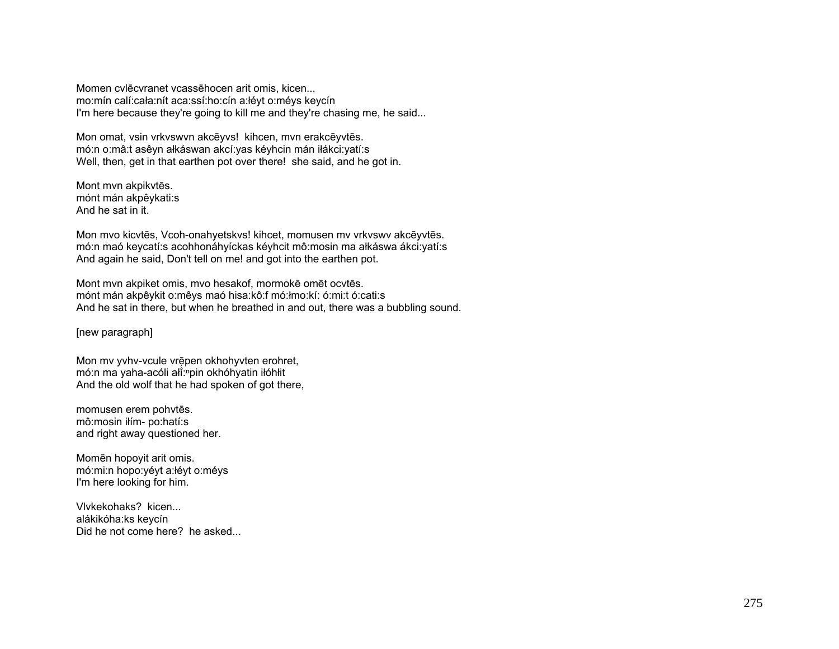Momen cvlēcvranet vcassēhocen arit omis, kicen... mo:mín calí:cała:nít aca:ssí:ho:cín a:łéyt o:méys keycín I'm here because they're going to kill me and they're chasing me, he said...

Mon omat, vsin vrkvswvn akcēyvs! kihcen, mvn erakcēyvtēs. mó:n o:mâ:t asêyn ałkáswan akcí:yas kéyhcin mán iłákci:yatí:s Well, then, get in that earthen pot over there! she said, and he got in.

Mont mvn akpikvtēs. mónt mán akpêykati:s And he sat in it.

Mon mvo kicvtēs, Vcoh-onahyetskvs! kihcet, momusen mv vrkvswv akcēyvtēs. mó:n maó keycatí:s acohhonáhyíckas kéyhcit mô:mosin ma ałkáswa ákci:yatí:s And again he said, Don't tell on me! and got into the earthen pot.

Mont mvn akpiket omis, mvo hesakof, mormokē omēt ocvtēs. mónt mán akpêykit o:mêys maó hisa:kô:f mó:łmo:kí: ó:mi:t ó:cati:s And he sat in there, but when he breathed in and out, there was a bubbling sound.

[new paragraph]

Mon my yvhy-vcule vrēpen okhohyvten erohret, mó:n ma yaha-acóli ałĭ:npin okhóhyatin iłóhłit And the old wolf that he had spoken of got there,

momusen erem pohvtēs. mô:mosin iłím- po:hatí:s and right away questioned her.

Momēn hopoyit arit omis. mó:mi:n hopo:yéyt a:łéyt o:méys I'm here looking for him.

Vlvkekohaks? kicen... alákikóha:ks keycín Did he not come here? he asked...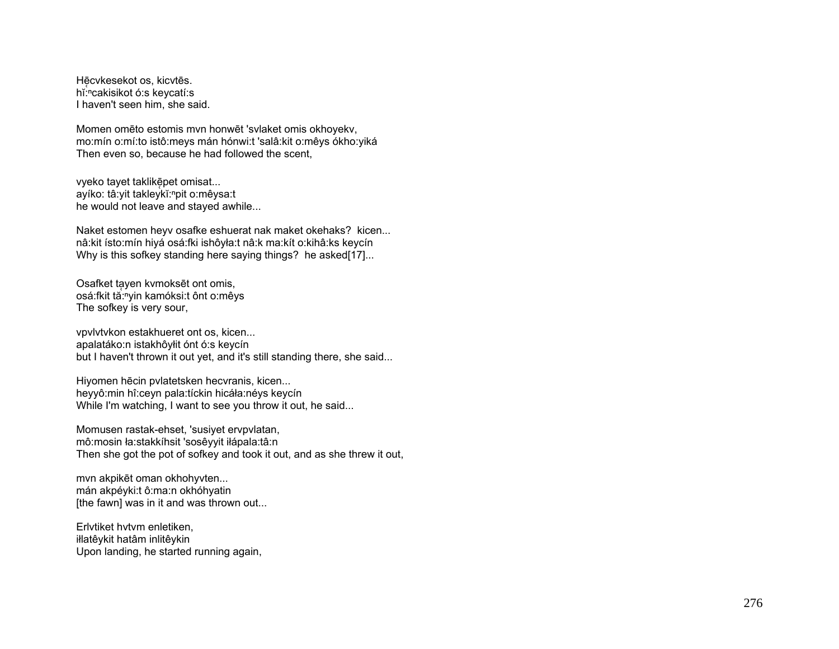Hē̞cvkesekot os, kicvtēs. hĭ: "cakisikot ó: s keycatí: s I haven't seen him, she said.

Momen omēto estomis mvn honwēt 'svlaket omis okhoyekv, mo:mín o:mí:to istô:meys mán hónwi:t 'salâ:kit o:mêys ókho:yiká Then even so, because he had followed the scent,

vyeko tayet taklikē pet omisat... ayíko: tâ: yit takleykĭ: "pit o: mêysa: t he would not leave and stayed awhile...

Naket estomen heyv osafke eshuerat nak maket okehaks? kicen... nâ:kit ísto:mín hiyá osá:fki ishôyła:t nâ:k ma:kít o:kihâ:ks keycín Why is this sofkey standing here saying things? he asked[17]...

Osafket ta̞yen kvmoksēt ont omis, osá:fkit tă:<sup>n</sup>yin kamóksi:t ônt o:mêys The sofkey is very sour,

vpvlvtvkon estakhueret ont os, kicen... apalatáko:n istakhôyłit ónt ó:s keycín but I haven't thrown it out yet, and it's still standing there, she said...

Hiyomen hēcin pvlatetsken hecvranis, kicen... heyyô:min hî:ceyn pala:tíckin hicáła:néys keycín While I'm watching, I want to see you throw it out, he said...

Momusen rastak-ehset, 'susiyet ervpvlatan, mô:mosin ła:stakkíhsit 'sosêyyit iłápala:tâ:n Then she got the pot of sofkey and took it out, and as she threw it out,

mvn akpikēt oman okhohyvten... mán akpéyki:t ô:ma:n okhóhyatin [the fawn] was in it and was thrown out...

Erlvtiket hvtvm enletiken, iłlatêykit hatâm inlitêykin Upon landing, he started running again,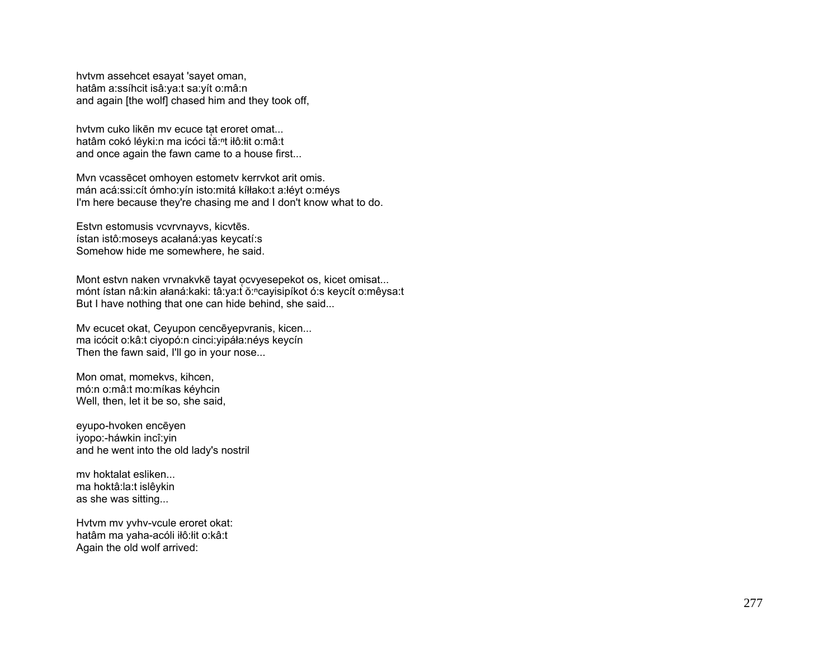hvtvm assehcet esayat 'sayet oman, hatâm a:ssíhcit isâ:ya:t sa:yít o:mâ:n and again [the wolf] chased him and they took off,

hvtvm cuko likēn mv ecuce tạt eroret omat... hatâm cokó léyki:n ma icóci tă:ʰt iłô:łit o:mâ:t and once again the fawn came to a house first...

Mvn vcassēcet omhoyen estometv kerrvkot arit omis. mán acá:ssi:cít ómho:yín isto:mitá kíłłako:t a:łéyt o:méys I'm here because they're chasing me and I don't know what to do.

Estvn estomusis vcvrvnayvs, kicvt ēs. ístan istô:moseys acałaná:yas keycatí:s Somehow hide me somewhere, he said.

Mont estvn naken vrvnakvk <sup>ē</sup> tayat o̜cvyesepekot os, kicet omisat... mónt ístan nâ:kin ałaná:kaki: tâ:ya:t ŏ:ʰcayisipíkot ó:s keycít o:mêysa:t But I have nothing that one can hide behind, she said...

Mv ecucet okat, Ceyupon cenc ēyepvranis, kicen... ma icócit o:kâ:t ciyopó:n cinci:yipáła:néys keycín Then the fawn said, I'll go in your nose...

Mon omat, momekvs, kihcen, mó:n o:mâ:t mo:míkas kéyhcin Well, then, let it be so, she said,

eyupo-hvoken enc ēyen iyopo:-háwkin incî:yin and he went into the old lady's nostril

mv hoktalat esliken... ma hoktâ:la:t islêykin as she was sitting...

Hvtvm mv yvhv-vcule eroret okat: hatâm ma yaha-acóli iłô:łit o:kâ:t Again the old wolf arrived: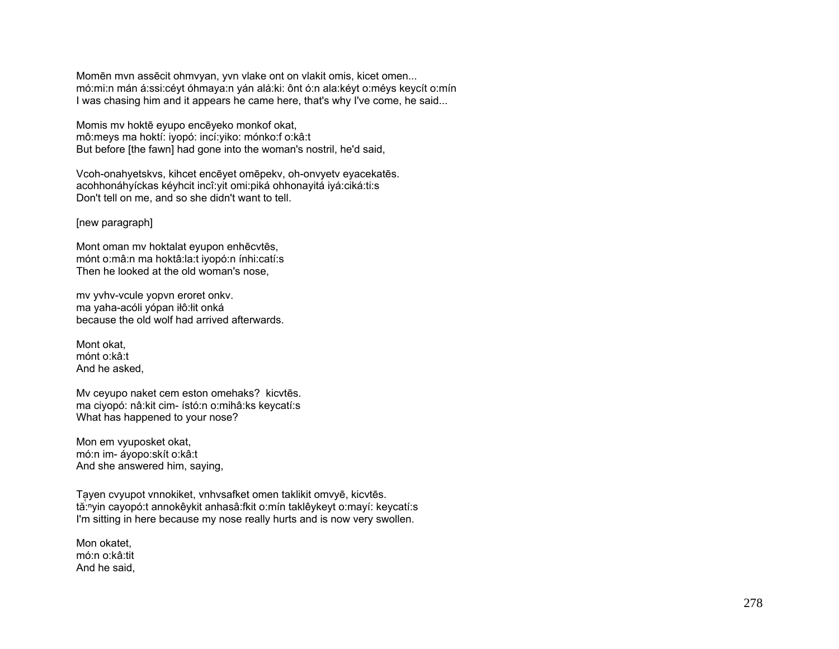Momēn mvn assēcit ohmvyan, yvn vlake ont on vlakit omis, kicet omen... mó:mi:n mán á:ssi:céyt óhmaya:n yán alá:ki: ônt ó:n ala:kéyt o:méys keycít o:mín I was chasing him and it appears he came here, that's why I've come, he said...

Momis mv hoktē eyupo encēyeko monkof okat, mô:meys ma hoktí: iyopó: incí:yiko: mónko:f o:kâ:t But before [the fawn] had gone into the woman's nostril, he'd said,

Vcoh-onahyetskvs, kihcet encēyet omēpekv, oh-onvyetv eyacekatēs. acohhonáhyíckas kéyhcit incî:yit omi:piká ohhonayitá iyá:ciká:ti:s Don't tell on me, and so she didn't want to tell.

[new paragraph]

Mont oman mv hoktalat eyupon enhēcvtēs, mónt o:mâ:n ma hoktâ:la:t iyopó:n ínhi:catí:s Then he looked at the old woman's nose,

mv yvhv-vcule yopvn eroret onkv. ma yaha-acóli yópan iłô:łit onká because the old wolf had arrived afterwards.

Mont okat, mónt o:kâ:t And he asked,

Mv ceyupo naket cem eston omehaks? kicvtēs. ma ciyopó: nâ:kit cim- ístó:n o:mihâ:ks keycatí:s What has happened to your nose?

Mon em vyuposket okat, mó:n im- áyopo:skít o:kâ:t And she answered him, saying,

Ta ̜yen cvyupot vnnokiket, vnhvsafket omen taklikit omvyē, kicvtēs. tă:<sup>n</sup>yin cayopó:t annokêykit anhasâ:fkit o:mín taklêykeyt o:mayí: keycatí:s I'm sitting in here because my nose really hurts and is now very swollen.

Mon okatet, mó:n o:kâ:tit And he said,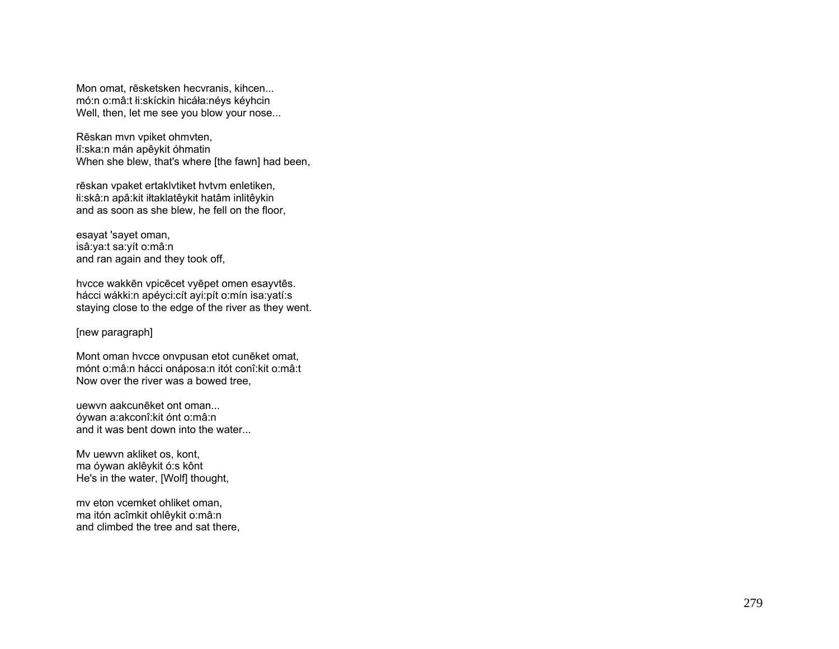Mon omat, rēsketsken hecvranis, kihcen... mó:n o:mâ:t łi:skíckin hicáła:néys kéyhcin Well, then, let me see you blow your nose...

Rēskan mvn vpiket ohmvten, łî:ska:n mán apêykit óhmatin When she blew, that's where [the fawn] had been,

<sup>r</sup>ēskan vpaket ertaklvtiket hvtvm enletiken, łi:skâ:n apâ:kit iłtaklatêykit hatâm inlitêykin and as soon as she blew, he fell on the floor,

esayat 'sayet oman, isâ:ya:t sa:yít o:mâ:n and ran again and they took off,

hvcce wakkēn vpicēcet vyēpet omen esayvtēs. hácci wákki:n apéyci:cít ayi:pít o:mín isa:yatí:s staying close to the edge of the river as they went.

## [new paragraph]

Mont oman hvcce onvpusan etot cunēket omat, mónt o:mâ:n hácci onáposa:n itót conî:kit o:mâ:t Now over the river was a bowed tree,

uewvn aakcunēket ont oman... óywan a:akconî:kit ónt o:mâ:n and it was bent down into the water...

Mv uewvn akliket os, kont, ma óywan aklêykit ó:s kônt He's in the water, [Wolf] thought,

mv eton vcemket ohliket oman, ma itón acîmkit ohlêykit o:mâ:n and climbed the tree and sat there,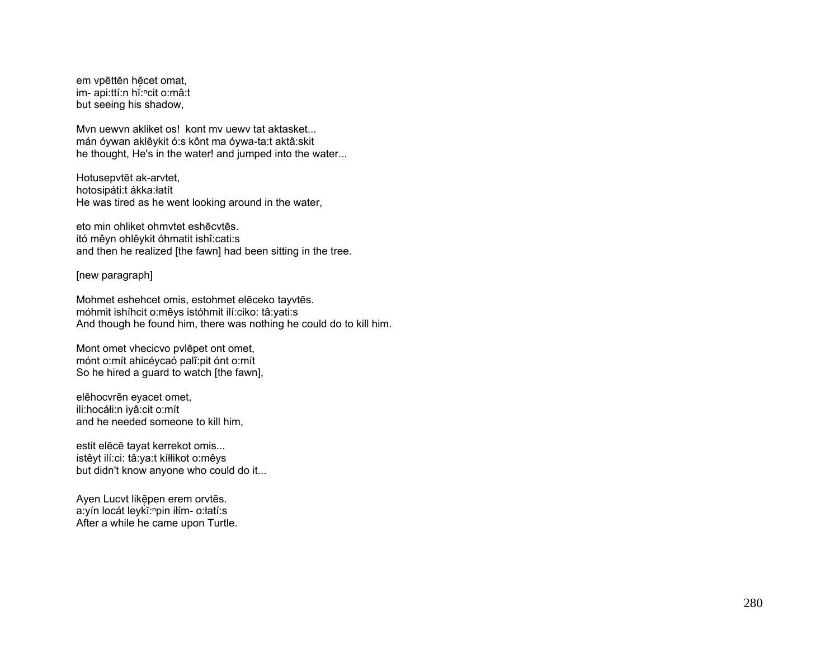em vpēttēn hēcet omat, im- api:ttí:n hi:ncit o:mâ:t but seeing his shadow,

Myn uewyn akliket os! kont my uewy tat aktasket... mán óywan aklêykit ó:s kônt ma óywa-ta:t aktâ:skit he thought, He's in the water! and jumped into the water...

Hotusepvtēt ak-arvtet, hotosipáti:t ákka:łatít He was tired as he went looking around in the water,

eto min ohliket ohmytet eshēcytēs. itó mêyn ohlêykit óhmatit ishî: cati: s and then he realized [the fawn] had been sitting in the tree.

[new paragraph]

Mohmet eshehcet omis, estohmet elēceko tayvtēs. móhmit ishíhcit o:mêys istóhmit ilí:ciko: tâ:yati:s And though he found him, there was nothing he could do to kill him.

Mont omet vhecicvo pylepet ont omet, mónt o: mít ahicé y cao palî: pit ónt o: mít So he hired a quard to watch [the fawn],

elēhocvrēn evacet omet, ili:hocáłi:n iyâ:cit o:mít and he needed someone to kill him,

estit elēcē tayat kerrekot omis... istêyt ilí:ci: tâ:ya:t kíłłikot o:mêys but didn't know anyone who could do it...

Ayen Lucvt likēpen erem orvtēs. a:yín locát leykĭ:npin iłím- o:łatí:s After a while he came upon Turtle.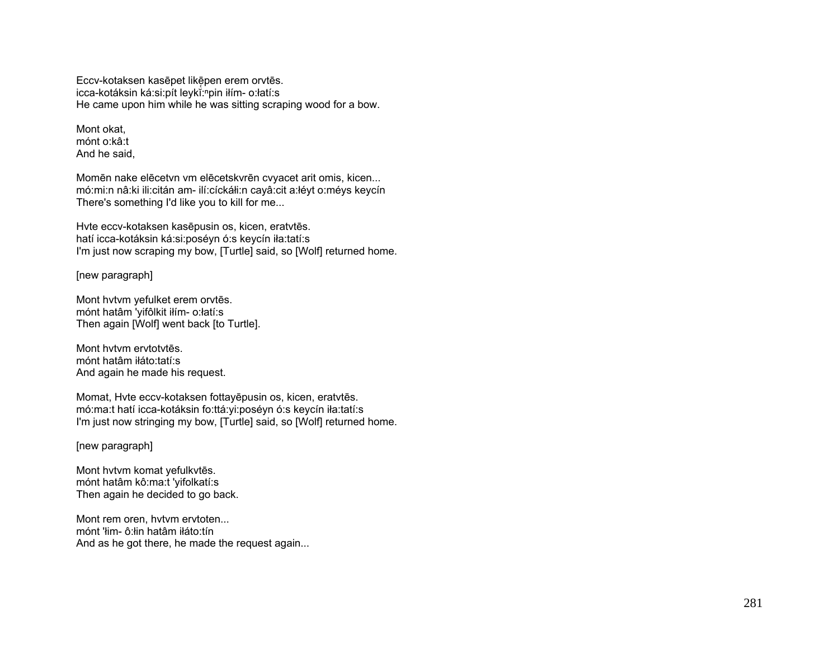Eccv-kotaksen kasēpet likēpen erem orvtēs. icca-kotáksin ká:si:pít leykĭ:npin iłím- o:łatí:s He came upon him while he was sitting scraping wood for a bow.

Mont okat, mónt o:kâ:t And he said,

Momēn nake elēcetvn vm elēcetskvrēn cvyacet arit omis, kicen... mó:mi:n nâ:ki ili:citán am- ilí:cíckáłi:n cayâ:cit a:łéyt o:méys keycín There's something I'd like you to kill for me...

Hvte eccv-kotaksen kasēpusin os, kicen, eratvtēs. hatí icca-kotáksin ká:si:poséyn ó:s keycín iła:tatí:s I'm just now scraping my bow, [Turtle] said, so [Wolf] returned home.

[new paragraph]

Mont hvtvm yefulket erem orvtēs. mónt hatâm 'yifôlkit iłím- o:łatí:s Then again [Wolf] went back [to Turtle].

Mont hvtvm ervtotvtēs. mónt hatâm iłáto:tatí:s And again he made his request.

Momat, Hvte eccv-kotaksen fottayēpusin os, kicen, eratvtēs. mó:ma:t hatí icca-kotáksin fo:ttá:yi:poséyn ó:s keycín iła:tatí:s I'm just now stringing my bow, [Turtle] said, so [Wolf] returned home.

[new paragraph]

Mont hvtvm komat yefulkvtēs. mónt hatâm kô:ma:t 'yifolkatí:s Then again he decided to go back.

Mont rem oren, hvtvm ervtoten... mónt 'łim- ô:łin hatâm iłáto:tín And as he got there, he made the request again...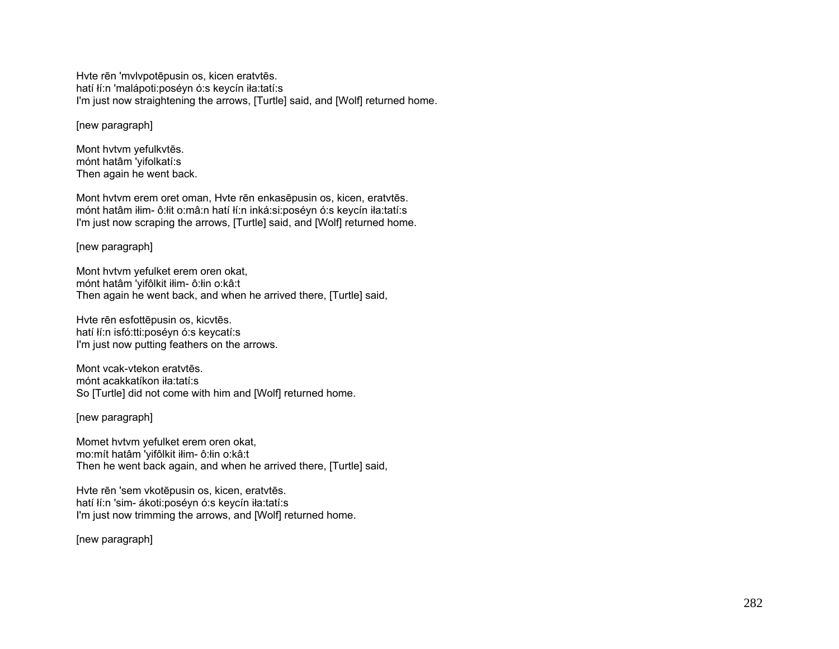Hvte rēn 'mvlvpotēpusin os, kicen eratvtēs. hatí łí:n 'malápoti:poséyn ó:s keycín iła:tatí:s I'm just now straightening the arrows, [Turtle] said, and [Wolf] returned home.

[new paragraph]

Mont hvtvm yefulkvtēs. mónt hatâm 'yifolkatí:s Then again he went back.

Mont hvtvm erem oret oman, Hvte rēn enkasēpusin os, kicen, eratvtēs. mónt hatâm iłim- ô:łit o:mâ:n hatí łí:n inká:si:poséyn ó:s keycín iła:tatí:s I'm just now scraping the arrows, [Turtle] said, and [Wolf] returned home.

[new paragraph]

Mont hvtvm yefulket erem oren okat, mónt hatâm 'yifôlkit iłim- ô:łin o:kâ:t Then again he went back, and when he arrived there, [Turtle] said,

Hvte rēn esfottēpusin os, kicvtēs. hatí łí:n isfó:tti:poséyn ó:s keycatí:s I'm just now putting feathers on the arrows.

Mont vcak-vtekon eratvtēs. mónt acakkatíkon iła:tatí:s So [Turtle] did not come with him and [Wolf] returned home.

[new paragraph]

Momet hvtvm yefulket erem oren okat, mo:mít hatâm 'yifôlkit iłim- ô:łin o:kâ:t Then he went back again, and when he arrived there, [Turtle] said,

Hvte rēn 'sem vkotēpusin os, kicen, eratvtēs. hatí łí:n 'sim- ákoti:poséyn ó:s keycín iła:tatí:s I'm just now trimming the arrows, and [Wolf] returned home.

[new paragraph]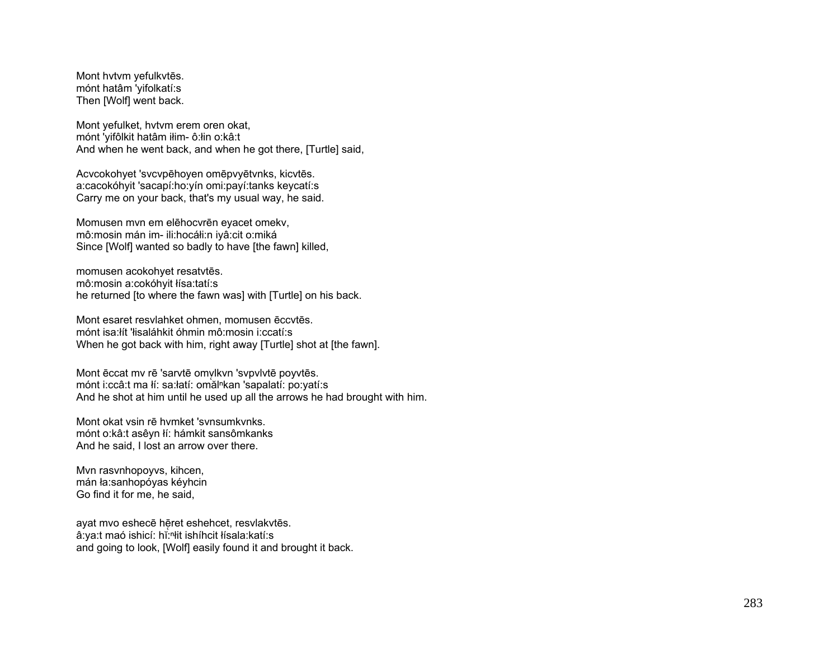Mont hvtvm yefulkvtēs. mónt hatâm 'yifolkatí:s Then [Wolf] went back.

Mont yefulket, hvtvm erem oren okat, mónt 'yifôlkit hatâm iłim- ô:łin o:kâ:t And when he went back, and when he got there, [Turtle] said,

Acvcokohyet 'svcvpēhoyen omēpvyētvnks, kicvtēs. a:cacokóhyit 'sacapí:ho:yín omi:payí:tanks keycatí:s Carry me on your back, that's my usual way, he said.

Momusen mvn em elēhocvrēn eyacet omekv, mô:mosin mán im- ili:hocáłi:n iyâ:cit o:miká Since [Wolf] wanted so badly to have [the fawn] killed,

momusen acokohyet resatvtēs. mô:mosin a:cokóhyit łísa:tatí:s he returned [to where the fawn was] with [Turtle] on his back.

Mont esaret resvlahket ohmen, momusen ēccvtēs. mónt isa:łít 'łisaláhkit óhmin mô:mosin i:ccatí:s When he got back with him, right away [Turtle] shot at [the fawn].

Mont ēccat mv rē 'sarvtē omvlkvn 'svpvlvtē poyvtēs. mónt i:ccâ:t ma łí: sa:łatí: omălⁿkan 'sapalatí: po:yatí:s And he shot at him until he used up all the arrows he had brought with him.

Mont okat vsin rē hvmket 'svnsumkvnks. mónt o:kâ:t asêyn łí: hámkit sansômkanks And he said, I lost an arrow over there.

Mvn rasvnhopoyvs, kihcen, mán ła:sanhopóyas kéyhcin Go find it for me, he said,

ayat mvo eshecē hēret eshehcet, resvlakvtēs. â:ya:t maó ishicí: hĭ:ʰłit ishíhcit łísala:katí:s and going to look, [Wolf] easily found it and brought it back.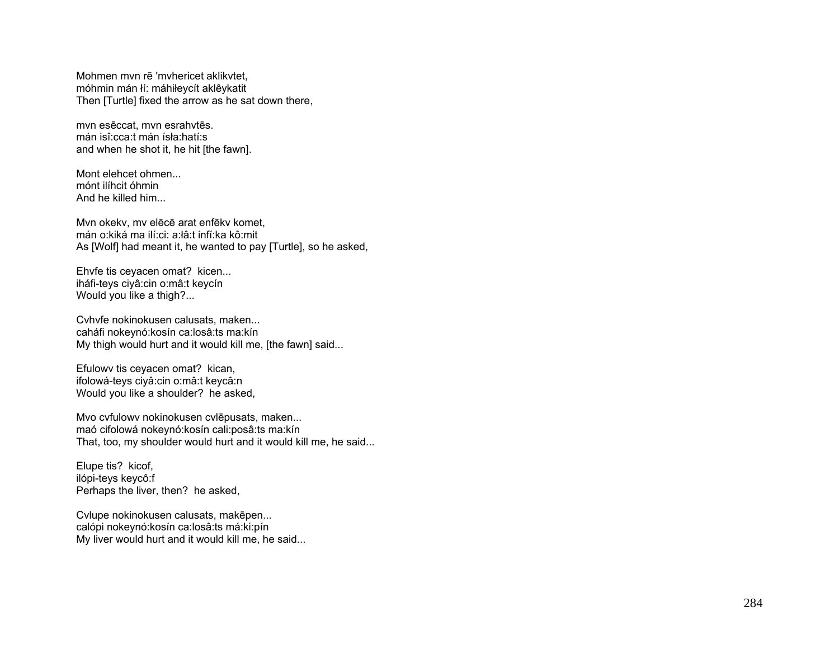Mohmen mvn rē 'mvhericet aklikvtet, móhmin mán łí: máhiłeycít aklêykatit Then [Turtle] fixed the arrow as he sat down there,

mvn esēccat, mvn esrahvtēs. mán isî:cca:t mán ísła:hatí:s and when he shot it, he hit [the fawn].

Mont elehcet ohmen... mónt ilíhcit óhmin And he killed him...

Mvn okekv, mv elēcē arat enfēkv komet, mán o:kiká ma ilí:ci: a:łâ:t infí:ka kô:mit As [Wolf] had meant it, he wanted to pay [Turtle], so he asked,

Ehvfe tis ceyacen omat? kicen... iháfi-teys ciyâ:cin o:mâ:t keycín Would you like a thigh?...

Cvhvfe nokinokusen calusats, maken... caháfi nokeynó:kosín ca:losâ:ts ma:kín My thigh would hurt and it would kill me, [the fawn] said...

Efulowv tis ceyacen omat? kican, ifolowá-teys ciyâ:cin o:mâ:t keycâ:n Would you like a shoulder? he asked,

Mvo cvfulowv nokinokusen cvlēpusats, maken... maó cifolowá nokeynó:kosín cali:posâ:ts ma:kín That, too, my shoulder would hurt and it would kill me, he said...

Elupe tis? kicof, ilópi-teys keycô:f Perhaps the liver, then? he asked,

Cvlupe nokinokusen calusats, makēpen... calópi nokeynó:kosín ca:losâ:ts má:ki:pín My liver would hurt and it would kill me, he said...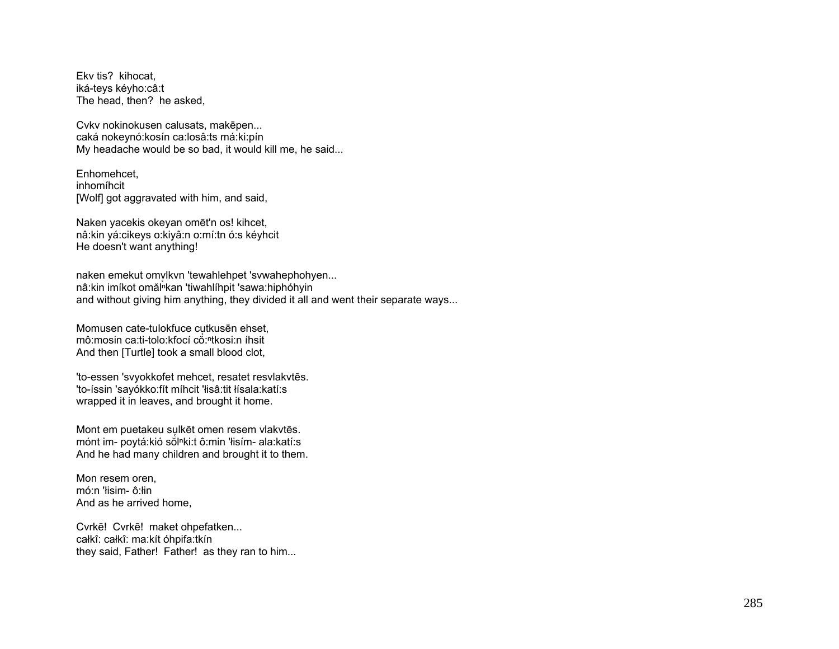Ekv tis? kihocat, iká-teys kéyho:câ:t The head, then? he asked,

Cvkv nokinokusen calusats, makēpen... caká nokeynó: kosín ca: losâ: ts má: ki: pín My headache would be so bad, it would kill me, he said...

Enhomehcet. inhomíhcit [Wolf] got aggravated with him, and said,

Naken yacekis okeyan omēt'n os! kihcet, nâ:kin yá:cikeys o:kiyâ:n o:mí:tn ó:s kéyhcit He doesn't want anything!

naken emekut omvlkvn 'tewahlehpet 'svwahephohyen... nâ:kin imíkot omăl<sup>n</sup>kan 'tiwahlíhpit 'sawa:hiphóhyin and without giving him anything, they divided it all and went their separate ways...

Momusen cate-tulokfuce cutkusen ehset, mô:mosin ca:ti-tolo:kfocí co:ntkosi:n íhsit And then [Turtle] took a small blood clot,

'to-essen 'svyokkofet mehcet, resatet resvlakvtēs. 'to-íssin 'sayókko:fít míhcit 'łisâ:tit łísala:katí:s wrapped it in leaves, and brought it home.

Mont em puetakeu sulkēt omen resem vlakvtēs. mónt im- poytá: kió sòlnki: tô: min 'łisím- ala: katí: s And he had many children and brought it to them.

Mon resem oren, mó:n 'lisim- ô:lin And as he arrived home.

Cvrkē! Cvrkē! maket ohpefatken... całkî: całkî: ma:kít óhpifa:tkín they said, Father! Father! as they ran to him...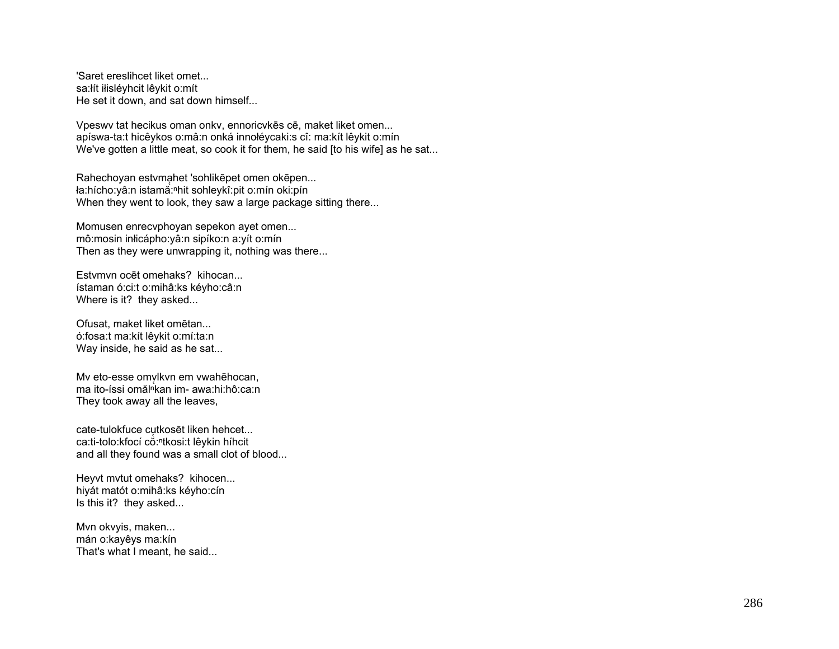'Saret ereslihcet liket omet... sa: lít ilisléyhcit lêykit o: mít He set it down, and sat down himself...

Vpeswv tat hecikus oman onkv, ennoricvkēs cē, maket liket omen... apíswa-ta:t hicêykos o:mâ:n onká innołéycaki:s cî: ma:kít lêykit o:mín We've gotten a little meat, so cook it for them, he said [to his wife] as he sat...

Rahechovan estymahet 'sohlikepet omen okepen... ła:hícho:yâ:n istamă:<sup>n</sup>hit sohleykî:pit o:mín oki:pín When they went to look, they saw a large package sitting there...

Momusen enrecvphoyan sepekon ayet omen... mô:mosin inlicápho: yâ:n sipíko:n a: yít o: mín Then as they were unwrapping it, nothing was there...

Estymyn ocet omehaks? kihocan... ístaman ó: ci: t o: mihâ: ks kéyho: câ: n Where is it? they asked...

Ofusat, maket liket omētan... ó:fosa:t ma:kít lêykit o:mí:ta:n Way inside, he said as he sat...

My eto-esse omvlkyn em ywahehocan. ma ito-íssi omăl<sup>n</sup>kan im- awa:hi:hô:ca:n They took away all the leaves,

cate-tulokfuce cutkosēt liken hehcet... ca:ti-tolo:kfocí cò:<sup>n</sup>tkosi:t lêykin híhcit and all they found was a small clot of blood...

Heyvt mytut omehaks? kihocen... hiyát matót o:mihâ:ks kéyho:cín Is this it? they asked...

Mvn okvyis, maken... mán o: kayê ys ma: kín That's what I meant, he said...